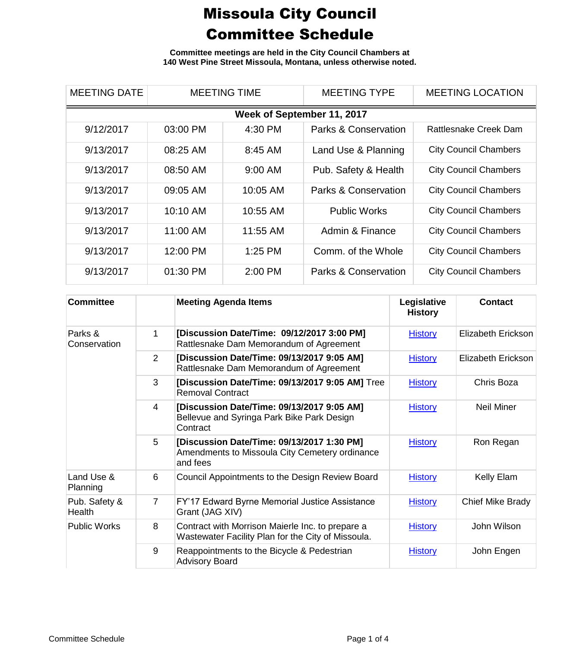**Committee meetings are held in the City Council Chambers at 140 West Pine Street Missoula, Montana, unless otherwise noted.**

| <b>MEETING DATE</b>        | <b>MEETING TIME</b> |           | <b>MEETING TYPE</b>  | <b>MEETING LOCATION</b>      |  |  |  |
|----------------------------|---------------------|-----------|----------------------|------------------------------|--|--|--|
| Week of September 11, 2017 |                     |           |                      |                              |  |  |  |
| 9/12/2017                  | 03:00 PM            | 4:30 PM   | Parks & Conservation | Rattlesnake Creek Dam        |  |  |  |
| 9/13/2017                  | 08:25 AM            | 8:45 AM   | Land Use & Planning  | <b>City Council Chambers</b> |  |  |  |
| 9/13/2017                  | 08:50 AM            | $9:00$ AM | Pub. Safety & Health | <b>City Council Chambers</b> |  |  |  |
| 9/13/2017                  | 09:05 AM            | 10:05 AM  | Parks & Conservation | <b>City Council Chambers</b> |  |  |  |
| 9/13/2017                  | 10:10 AM            | 10:55 AM  | <b>Public Works</b>  | <b>City Council Chambers</b> |  |  |  |
| 9/13/2017                  | 11:00 AM            | 11:55 AM  | Admin & Finance      | <b>City Council Chambers</b> |  |  |  |
| 9/13/2017                  | 12:00 PM            | $1:25$ PM | Comm. of the Whole   | <b>City Council Chambers</b> |  |  |  |
| 9/13/2017                  | 01:30 PM            | 2:00 PM   | Parks & Conservation | <b>City Council Chambers</b> |  |  |  |

| <b>Committee</b>        |                | <b>Meeting Agenda Items</b>                                                                              | Legislative<br><b>History</b> | <b>Contact</b>     |
|-------------------------|----------------|----------------------------------------------------------------------------------------------------------|-------------------------------|--------------------|
| Parks &<br>Conservation | 1              | [Discussion Date/Time: 09/12/2017 3:00 PM]<br>Rattlesnake Dam Memorandum of Agreement                    | <b>History</b>                | Elizabeth Erickson |
|                         | $\overline{2}$ | [Discussion Date/Time: 09/13/2017 9:05 AM]<br>Rattlesnake Dam Memorandum of Agreement                    | <b>History</b>                | Elizabeth Erickson |
|                         | 3              | [Discussion Date/Time: 09/13/2017 9:05 AM] Tree<br><b>Removal Contract</b>                               | <b>History</b>                | Chris Boza         |
|                         | 4              | [Discussion Date/Time: 09/13/2017 9:05 AM]<br>Bellevue and Syringa Park Bike Park Design<br>Contract     | <b>History</b>                | <b>Neil Miner</b>  |
|                         | 5              | [Discussion Date/Time: 09/13/2017 1:30 PM]<br>Amendments to Missoula City Cemetery ordinance<br>and fees | <b>History</b>                | Ron Regan          |
| Land Use &<br>Planning  | 6              | Council Appointments to the Design Review Board                                                          | <b>History</b>                | Kelly Elam         |
| Pub. Safety &<br>Health | $\overline{7}$ | FY'17 Edward Byrne Memorial Justice Assistance<br>Grant (JAG XIV)                                        | <b>History</b>                | Chief Mike Brady   |
| <b>Public Works</b>     | 8              | Contract with Morrison Maierle Inc. to prepare a<br>Wastewater Facility Plan for the City of Missoula.   | <b>History</b>                | John Wilson        |
|                         | 9              | Reappointments to the Bicycle & Pedestrian<br><b>Advisory Board</b>                                      | <b>History</b>                | John Engen         |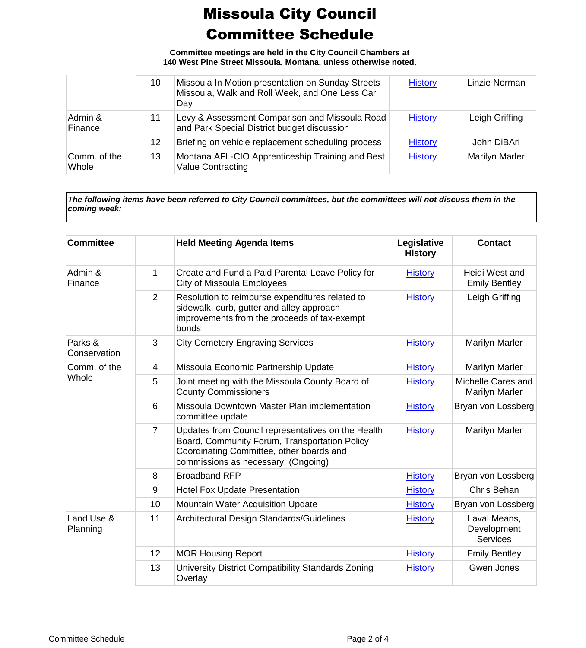**Committee meetings are held in the City Council Chambers at 140 West Pine Street Missoula, Montana, unless otherwise noted.**

|                       | 10 | Missoula In Motion presentation on Sunday Streets<br>Missoula, Walk and Roll Week, and One Less Car<br>Day | <b>History</b> | Linzie Norman         |
|-----------------------|----|------------------------------------------------------------------------------------------------------------|----------------|-----------------------|
| Admin &<br>Finance    | 11 | Levy & Assessment Comparison and Missoula Road<br>and Park Special District budget discussion              | <b>History</b> | Leigh Griffing        |
|                       | 12 | Briefing on vehicle replacement scheduling process                                                         | <b>History</b> | John DiBAri           |
| Comm. of the<br>Whole | 13 | Montana AFL-CIO Apprenticeship Training and Best<br><b>Value Contracting</b>                               | <b>History</b> | <b>Marilyn Marler</b> |

*The following items have been referred to City Council committees, but the committees will not discuss them in the coming week:*

| <b>Committee</b>        |                 | <b>Held Meeting Agenda Items</b>                                                                                                                                                       | Legislative<br><b>History</b> | <b>Contact</b>                                 |
|-------------------------|-----------------|----------------------------------------------------------------------------------------------------------------------------------------------------------------------------------------|-------------------------------|------------------------------------------------|
| Admin &<br>Finance      | 1               | Create and Fund a Paid Parental Leave Policy for<br>City of Missoula Employees                                                                                                         | <b>History</b>                | Heidi West and<br><b>Emily Bentley</b>         |
|                         | $\overline{2}$  | Resolution to reimburse expenditures related to<br>sidewalk, curb, gutter and alley approach<br>improvements from the proceeds of tax-exempt<br>bonds                                  | <b>History</b>                | Leigh Griffing                                 |
| Parks &<br>Conservation | 3               | <b>City Cemetery Engraving Services</b>                                                                                                                                                | <b>History</b>                | <b>Marilyn Marler</b>                          |
| Comm. of the            | 4               | Missoula Economic Partnership Update                                                                                                                                                   | <b>History</b>                | <b>Marilyn Marler</b>                          |
| Whole                   | 5               | Joint meeting with the Missoula County Board of<br><b>County Commissioners</b>                                                                                                         | <b>History</b>                | Michelle Cares and<br><b>Marilyn Marler</b>    |
|                         | $6\phantom{1}6$ | Missoula Downtown Master Plan implementation<br>committee update                                                                                                                       | <b>History</b>                | Bryan von Lossberg                             |
|                         | $\overline{7}$  | Updates from Council representatives on the Health<br>Board, Community Forum, Transportation Policy<br>Coordinating Committee, other boards and<br>commissions as necessary. (Ongoing) | <b>History</b>                | <b>Marilyn Marler</b>                          |
|                         | 8               | <b>Broadband RFP</b>                                                                                                                                                                   | <b>History</b>                | Bryan von Lossberg                             |
|                         | 9               | <b>Hotel Fox Update Presentation</b>                                                                                                                                                   | <b>History</b>                | Chris Behan                                    |
|                         | 10              | <b>Mountain Water Acquisition Update</b>                                                                                                                                               | <b>History</b>                | Bryan von Lossberg                             |
| Land Use &<br>Planning  | 11              | Architectural Design Standards/Guidelines                                                                                                                                              | <b>History</b>                | Laval Means,<br>Development<br><b>Services</b> |
|                         | 12              | <b>MOR Housing Report</b>                                                                                                                                                              | <b>History</b>                | <b>Emily Bentley</b>                           |
|                         | 13              | University District Compatibility Standards Zoning<br>Overlay                                                                                                                          | <b>History</b>                | <b>Gwen Jones</b>                              |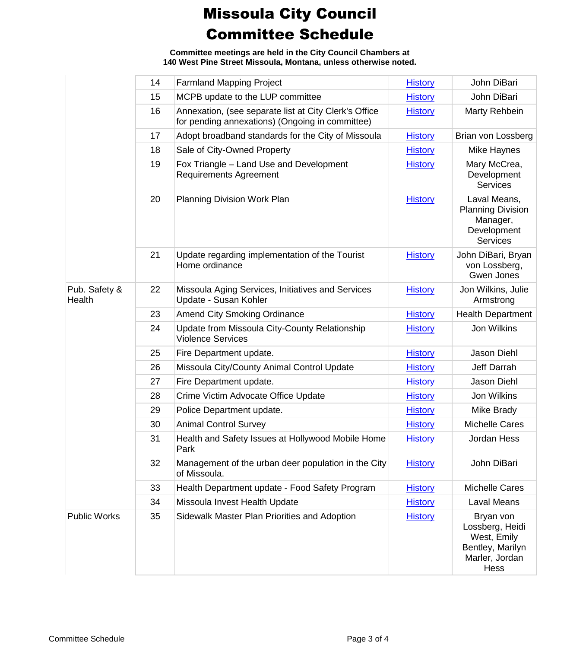**Committee meetings are held in the City Council Chambers at 140 West Pine Street Missoula, Montana, unless otherwise noted.**

|                         | 14 | <b>Farmland Mapping Project</b>                                                                          | <b>History</b> | John DiBari                                                                                      |
|-------------------------|----|----------------------------------------------------------------------------------------------------------|----------------|--------------------------------------------------------------------------------------------------|
|                         | 15 | MCPB update to the LUP committee                                                                         | <b>History</b> | John DiBari                                                                                      |
|                         | 16 | Annexation, (see separate list at City Clerk's Office<br>for pending annexations) (Ongoing in committee) | <b>History</b> | Marty Rehbein                                                                                    |
|                         | 17 | Adopt broadband standards for the City of Missoula                                                       | <b>History</b> | Brian von Lossberg                                                                               |
|                         | 18 | Sale of City-Owned Property                                                                              | <b>History</b> | Mike Haynes                                                                                      |
|                         | 19 | Fox Triangle - Land Use and Development<br><b>Requirements Agreement</b>                                 | <b>History</b> | Mary McCrea,<br>Development<br><b>Services</b>                                                   |
|                         | 20 | Planning Division Work Plan                                                                              | <b>History</b> | Laval Means,<br><b>Planning Division</b><br>Manager,<br>Development<br><b>Services</b>           |
|                         | 21 | Update regarding implementation of the Tourist<br>Home ordinance                                         | <b>History</b> | John DiBari, Bryan<br>von Lossberg,<br><b>Gwen Jones</b>                                         |
| Pub. Safety &<br>Health | 22 | Missoula Aging Services, Initiatives and Services<br>Update - Susan Kohler                               | <b>History</b> | Jon Wilkins, Julie<br>Armstrong                                                                  |
|                         | 23 | <b>Amend City Smoking Ordinance</b>                                                                      | <b>History</b> | <b>Health Department</b>                                                                         |
|                         | 24 | Update from Missoula City-County Relationship<br><b>Violence Services</b>                                | <b>History</b> | Jon Wilkins                                                                                      |
|                         | 25 | Fire Department update.                                                                                  | <b>History</b> | Jason Diehl                                                                                      |
|                         | 26 | Missoula City/County Animal Control Update                                                               | <b>History</b> | Jeff Darrah                                                                                      |
|                         | 27 | Fire Department update.                                                                                  | <b>History</b> | Jason Diehl                                                                                      |
|                         | 28 | Crime Victim Advocate Office Update                                                                      | <b>History</b> | Jon Wilkins                                                                                      |
|                         | 29 | Police Department update.                                                                                | <b>History</b> | Mike Brady                                                                                       |
|                         | 30 | <b>Animal Control Survey</b>                                                                             | <b>History</b> | <b>Michelle Cares</b>                                                                            |
|                         | 31 | Health and Safety Issues at Hollywood Mobile Home<br>Park                                                | <b>History</b> | Jordan Hess                                                                                      |
|                         | 32 | Management of the urban deer population in the City<br>of Missoula.                                      | <b>History</b> | John DiBari                                                                                      |
|                         | 33 | Health Department update - Food Safety Program                                                           | <b>History</b> | <b>Michelle Cares</b>                                                                            |
|                         | 34 | Missoula Invest Health Update                                                                            | <b>History</b> | Laval Means                                                                                      |
| <b>Public Works</b>     | 35 | Sidewalk Master Plan Priorities and Adoption                                                             | <b>History</b> | Bryan von<br>Lossberg, Heidi<br>West, Emily<br>Bentley, Marilyn<br>Marler, Jordan<br><b>Hess</b> |